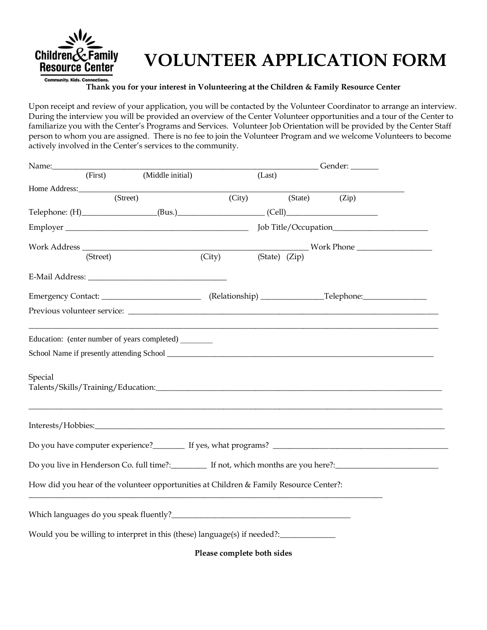

## **VOLUNTEER APPLICATION FORM**

## **Thank you for your interest in Volunteering at the Children & Family Resource Center**

Upon receipt and review of your application, you will be contacted by the Volunteer Coordinator to arrange an interview. During the interview you will be provided an overview of the Center Volunteer opportunities and a tour of the Center to familiarize you with the Center's Programs and Services. Volunteer Job Orientation will be provided by the Center Staff person to whom you are assigned. There is no fee to join the Volunteer Program and we welcome Volunteers to become actively involved in the Center's services to the community.

| Name:                                                                                  |                  |        |               |  | Gender: ______ |  |
|----------------------------------------------------------------------------------------|------------------|--------|---------------|--|----------------|--|
| (First)                                                                                | (Middle initial) |        | (Last)        |  |                |  |
| Home Address:                                                                          |                  |        |               |  |                |  |
|                                                                                        | (Street)         |        | (City)        |  | (State) (Zip)  |  |
|                                                                                        |                  |        |               |  |                |  |
|                                                                                        |                  |        |               |  |                |  |
|                                                                                        |                  |        |               |  |                |  |
| (Street)                                                                               |                  | (City) | (State) (Zip) |  |                |  |
|                                                                                        |                  |        |               |  |                |  |
|                                                                                        |                  |        |               |  |                |  |
|                                                                                        |                  |        |               |  |                |  |
| Special                                                                                |                  |        |               |  |                |  |
|                                                                                        |                  |        |               |  |                |  |
|                                                                                        |                  |        |               |  |                |  |
|                                                                                        |                  |        |               |  |                |  |
| How did you hear of the volunteer opportunities at Children & Family Resource Center?: |                  |        |               |  |                |  |
|                                                                                        |                  |        |               |  |                |  |
| Would you be willing to interpret in this (these) language(s) if needed?: ____________ |                  |        |               |  |                |  |
|                                                                                        |                  |        |               |  |                |  |

**Please complete both sides**